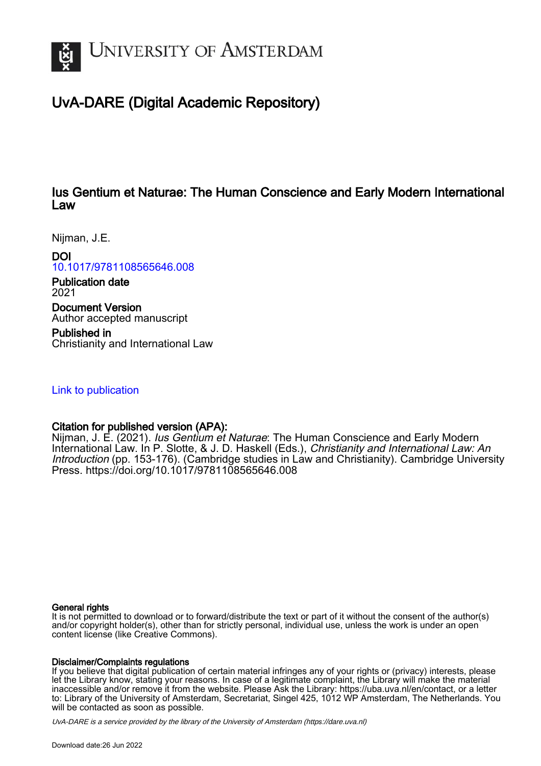

# UvA-DARE (Digital Academic Repository)

# Ius Gentium et Naturae: The Human Conscience and Early Modern International Law

Nijman, J.E.

DOI

[10.1017/9781108565646.008](https://doi.org/10.1017/9781108565646.008)

Publication date 2021

Document Version Author accepted manuscript

Published in Christianity and International Law

[Link to publication](https://dare.uva.nl/personal/pure/en/publications/ius-gentium-et-naturae-the-human-conscience-and-early-modern-international-law(684cc98c-1560-477b-8d20-8089345b8eef).html)

# Citation for published version (APA):

Nijman, J. E. (2021). *Ius Gentium et Naturae*: The Human Conscience and Early Modern International Law. In P. Slotte, & J. D. Haskell (Eds.), Christianity and International Law: An Introduction (pp. 153-176). (Cambridge studies in Law and Christianity). Cambridge University Press.<https://doi.org/10.1017/9781108565646.008>

#### General rights

It is not permitted to download or to forward/distribute the text or part of it without the consent of the author(s) and/or copyright holder(s), other than for strictly personal, individual use, unless the work is under an open content license (like Creative Commons).

#### Disclaimer/Complaints regulations

If you believe that digital publication of certain material infringes any of your rights or (privacy) interests, please let the Library know, stating your reasons. In case of a legitimate complaint, the Library will make the material inaccessible and/or remove it from the website. Please Ask the Library: https://uba.uva.nl/en/contact, or a letter to: Library of the University of Amsterdam, Secretariat, Singel 425, 1012 WP Amsterdam, The Netherlands. You will be contacted as soon as possible.

UvA-DARE is a service provided by the library of the University of Amsterdam (http*s*://dare.uva.nl)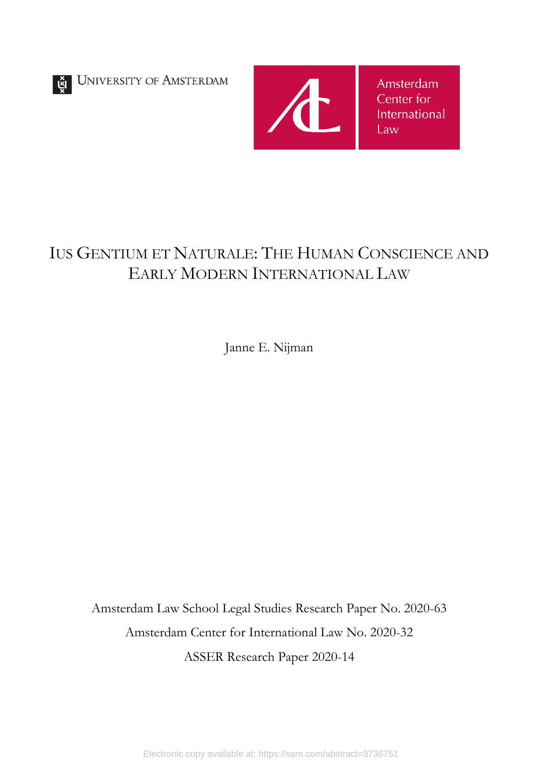UNIVERSITY OF AMSTERDAM



# IUS GENTIUM ET NATURALE: THE HUMAN CONSCIENCE AND EARLY MODERN INTERNATIONAL LAW

Janne E. Nijman

Amsterdam Law School Legal Studies Research Paper No. 2020-63 Amsterdam Center for International Law No. 2020-32 ASSER Research Paper 2020-14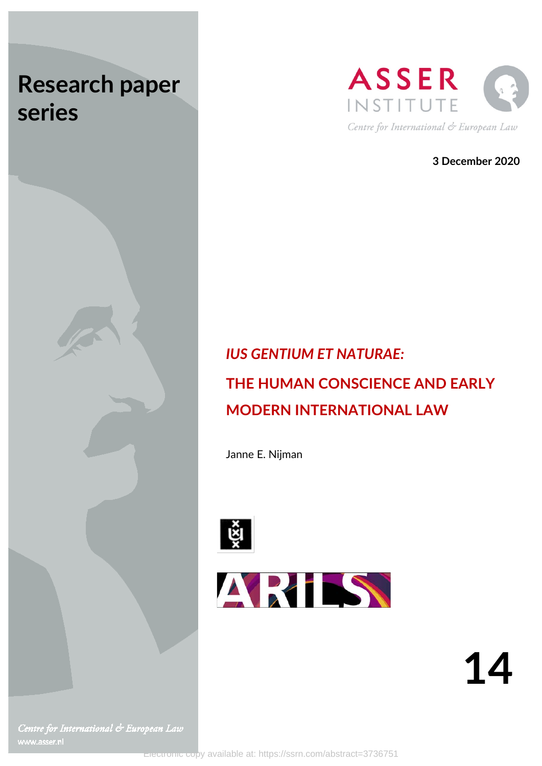# **Research paper series**





**3 December 2020**

# *IUS GENTIUM ET NATURAE:* **THE HUMAN CONSCIENCE AND EARLY MODERN INTERNATIONAL LAW**

Janne E. Nijman





Centre for International & European Law www.asser.nl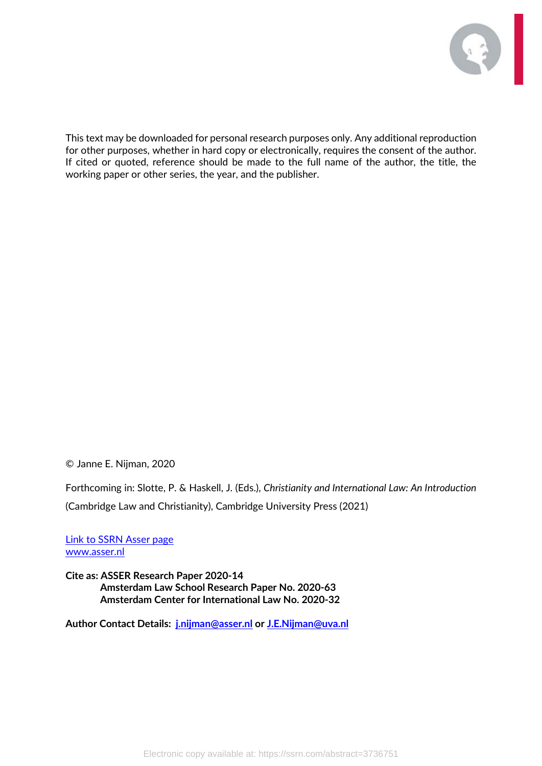

This text may be downloaded for personal research purposes only. Any additional reproduction for other purposes, whether in hard copy or electronically, requires the consent of the author. If cited or quoted, reference should be made to the full name of the author, the title, the working paper or other series, the year, and the publisher.

© Janne E. Nijman, 2020

Forthcoming in: Slotte, P. & Haskell, J. (Eds.), *Christianity and International Law: An Introduction* (Cambridge Law and Christianity), Cambridge University Press (2021)

[Link to SSRN Asser page](https://papers.ssrn.com/sol3/JELJOUR_Results.cfm?form_name=journalbrowse&journal_id=2703936) [www.asser.nl](http://www.asser.nl/)

**Cite as: ASSER Research Paper 2020-14 Amsterdam Law School Research Paper No. 2020-63 Amsterdam Center for International Law No. 2020-32**

**Author Contact Details: [j.nijman@asser.nl](mailto:j.nijman@asser.nl) or [J.E.Nijman@uva.nl](mailto:J.E.Nijman@uva.nl)**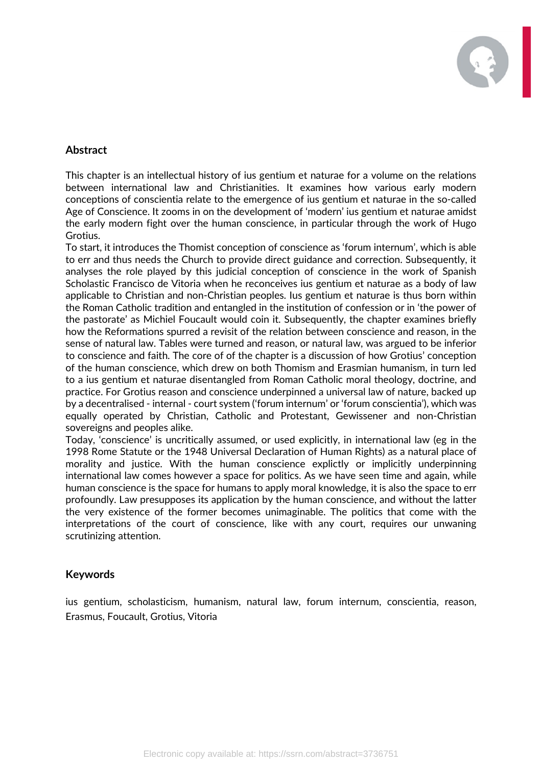

# **Abstract**

This chapter is an intellectual history of ius gentium et naturae for a volume on the relations between international law and Christianities. It examines how various early modern conceptions of conscientia relate to the emergence of ius gentium et naturae in the so-called Age of Conscience. It zooms in on the development of 'modern' ius gentium et naturae amidst the early modern fight over the human conscience, in particular through the work of Hugo Grotius.

To start, it introduces the Thomist conception of conscience as 'forum internum', which is able to err and thus needs the Church to provide direct guidance and correction. Subsequently, it analyses the role played by this judicial conception of conscience in the work of Spanish Scholastic Francisco de Vitoria when he reconceives ius gentium et naturae as a body of law applicable to Christian and non-Christian peoples. Ius gentium et naturae is thus born within the Roman Catholic tradition and entangled in the institution of confession or in 'the power of the pastorate' as Michiel Foucault would coin it. Subsequently, the chapter examines briefly how the Reformations spurred a revisit of the relation between conscience and reason, in the sense of natural law. Tables were turned and reason, or natural law, was argued to be inferior to conscience and faith. The core of of the chapter is a discussion of how Grotius' conception of the human conscience, which drew on both Thomism and Erasmian humanism, in turn led to a ius gentium et naturae disentangled from Roman Catholic moral theology, doctrine, and practice. For Grotius reason and conscience underpinned a universal law of nature, backed up by a decentralised - internal - court system ('forum internum' or 'forum conscientia'), which was equally operated by Christian, Catholic and Protestant, Gewissener and non-Christian sovereigns and peoples alike.

Today, 'conscience' is uncritically assumed, or used explicitly, in international law (eg in the 1998 Rome Statute or the 1948 Universal Declaration of Human Rights) as a natural place of morality and justice. With the human conscience explictly or implicitly underpinning international law comes however a space for politics. As we have seen time and again, while human conscience is the space for humans to apply moral knowledge, it is also the space to err profoundly. Law presupposes its application by the human conscience, and without the latter the very existence of the former becomes unimaginable. The politics that come with the interpretations of the court of conscience, like with any court, requires our unwaning scrutinizing attention.

# **Keywords**

ius gentium, scholasticism, humanism, natural law, forum internum, conscientia, reason, Erasmus, Foucault, Grotius, Vitoria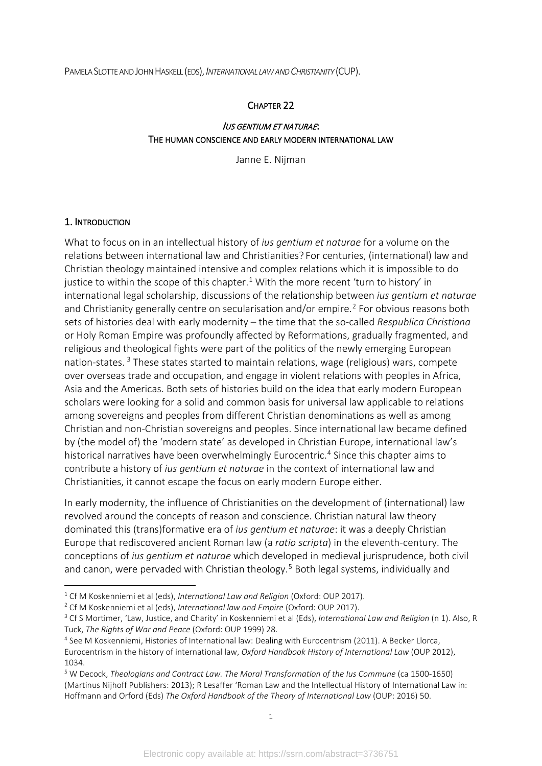PAMELA SLOTTE AND JOHN HASKELL (EDS),*INTERNATIONAL LAW AND CHRISTIANITY* (CUP).

#### CHAPTER 22

#### IUS GENTIUM ET NATURAE: THE HUMAN CONSCIENCE AND EARLY MODERN INTERNATIONAL LAW

Janne E. Nijman

#### 1. INTRODUCTION

What to focus on in an intellectual history of *ius gentium et naturae* for a volume on the relations between international law and Christianities? For centuries, (international) law and Christian theology maintained intensive and complex relations which it is impossible to do justice to within the scope of this chapter.<sup>[1](#page-5-0)</sup> With the more recent 'turn to history' in international legal scholarship, discussions of the relationship between *ius gentium et naturae* and Christianity generally centre on secularisation and/or empire.<sup>[2](#page-5-1)</sup> For obvious reasons both sets of histories deal with early modernity – the time that the so-called *Respublica Christiana* or Holy Roman Empire was profoundly affected by Reformations, gradually fragmented, and religious and theological fights were part of the politics of the newly emerging European nation-states. [3](#page-5-2) These states started to maintain relations, wage (religious) wars, compete over overseas trade and occupation, and engage in violent relations with peoples in Africa, Asia and the Americas. Both sets of histories build on the idea that early modern European scholars were looking for a solid and common basis for universal law applicable to relations among sovereigns and peoples from different Christian denominations as well as among Christian and non-Christian sovereigns and peoples. Since international law became defined by (the model of) the 'modern state' as developed in Christian Europe, international law's historical narratives have been overwhelmingly Eurocentric.<sup>[4](#page-5-3)</sup> Since this chapter aims to contribute a history of *ius gentium et naturae* in the context of international law and Christianities, it cannot escape the focus on early modern Europe either.

In early modernity, the influence of Christianities on the development of (international) law revolved around the concepts of reason and conscience. Christian natural law theory dominated this (trans)formative era of *ius gentium et naturae*: it was a deeply Christian Europe that rediscovered ancient Roman law (a *ratio scripta*) in the eleventh-century. The conceptions of *ius gentium et naturae* which developed in medieval jurisprudence, both civil and canon, were pervaded with Christian theology.<sup>[5](#page-5-4)</sup> Both legal systems, individually and

<span id="page-5-2"></span>

<span id="page-5-1"></span><span id="page-5-0"></span><sup>&</sup>lt;sup>1</sup> Cf M Koskenniemi et al (eds), *International Law and Religion* (Oxford: OUP 2017).<br><sup>2</sup> Cf M Koskenniemi et al (eds), *International law and Empire* (Oxford: OUP 2017).<br><sup>3</sup> Cf S Mortimer, 'Law, Justice, and Charity' in Tuck, *The Rights of War and Peace* (Oxford: OUP 1999) 28. 4 See M Koskenniemi, Histories of International law: Dealing with Eurocentrism (2011). A Becker Llorca,

<span id="page-5-3"></span>Eurocentrism in the history of international law, *Oxford Handbook History of International Law* (OUP 2012), 1034. 5 W Decock, *Theologians and Contract Law. The Moral Transformation of the Ius Commune* (ca 1500-1650)

<span id="page-5-4"></span><sup>(</sup>Martinus Nijhoff Publishers: 2013); R Lesaffer 'Roman Law and the Intellectual History of International Law in: Hoffmann and Orford (Eds) *The Oxford Handbook of the Theory of International Law* (OUP: 2016) 50.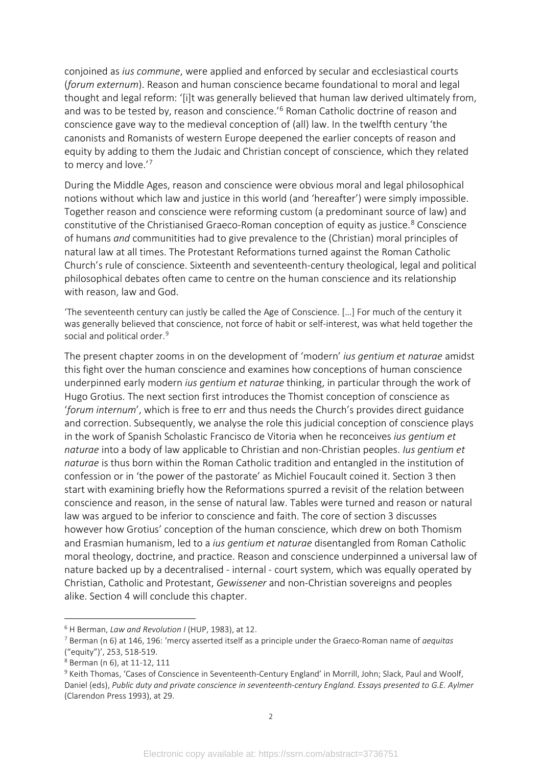conjoined as *ius commune*, were applied and enforced by secular and ecclesiastical courts (*forum externum*). Reason and human conscience became foundational to moral and legal thought and legal reform: '[i]t was generally believed that human law derived ultimately from, and was to be tested by, reason and conscience.<sup>'[6](#page-6-0)</sup> Roman Catholic doctrine of reason and conscience gave way to the medieval conception of (all) law. In the twelfth century 'the canonists and Romanists of western Europe deepened the earlier concepts of reason and equity by adding to them the Judaic and Christian concept of conscience, which they related to mercy and love.<sup>'[7](#page-6-1)</sup>

During the Middle Ages, reason and conscience were obvious moral and legal philosophical notions without which law and justice in this world (and 'hereafter') were simply impossible. Together reason and conscience were reforming custom (a predominant source of law) and constitutive of the Christianised Graeco-Roman conception of equity as justice.<sup>[8](#page-6-2)</sup> Conscience of humans *and* communitities had to give prevalence to the (Christian) moral principles of natural law at all times. The Protestant Reformations turned against the Roman Catholic Church's rule of conscience. Sixteenth and seventeenth-century theological, legal and political philosophical debates often came to centre on the human conscience and its relationship with reason, law and God.

'The seventeenth century can justly be called the Age of Conscience. […] For much of the century it was generally believed that conscience, not force of habit or self-interest, was what held together the social and political order.<sup>[9](#page-6-3)</sup>

The present chapter zooms in on the development of 'modern' *ius gentium et naturae* amidst this fight over the human conscience and examines how conceptions of human conscience underpinned early modern *ius gentium et naturae* thinking, in particular through the work of Hugo Grotius. The next section first introduces the Thomist conception of conscience as '*forum internum*', which is free to err and thus needs the Church's provides direct guidance and correction. Subsequently, we analyse the role this judicial conception of conscience plays in the work of Spanish Scholastic Francisco de Vitoria when he reconceives *ius gentium et naturae* into a body of law applicable to Christian and non-Christian peoples. *Ius gentium et naturae* is thus born within the Roman Catholic tradition and entangled in the institution of confession or in 'the power of the pastorate' as Michiel Foucault coined it. Section 3 then start with examining briefly how the Reformations spurred a revisit of the relation between conscience and reason, in the sense of natural law. Tables were turned and reason or natural law was argued to be inferior to conscience and faith. The core of section 3 discusses however how Grotius' conception of the human conscience, which drew on both Thomism and Erasmian humanism, led to a *ius gentium et naturae* disentangled from Roman Catholic moral theology, doctrine, and practice. Reason and conscience underpinned a universal law of nature backed up by a decentralised - internal - court system, which was equally operated by Christian, Catholic and Protestant, *Gewissener* and non-Christian sovereigns and peoples alike. Section 4 will conclude this chapter.

<span id="page-6-0"></span><sup>6</sup> H Berman, *Law and Revolution I* (HUP, 1983), at 12.

<span id="page-6-1"></span><sup>7</sup> Berman (n 6) at 146, 196: 'mercy asserted itself as a principle under the Graeco-Roman name of *aequitas* ("equity")', 253, 518-519.<br><sup>8</sup> Berman (n 6), at 11-12, 111

<span id="page-6-2"></span>

<span id="page-6-3"></span><sup>9</sup> Keith Thomas, 'Cases of Conscience in Seventeenth-Century England' in Morrill, John; Slack, Paul and Woolf, Daniel (eds), *Public duty and private conscience in seventeenth-century England. Essays presented to G.E. Aylmer* (Clarendon Press 1993), at 29.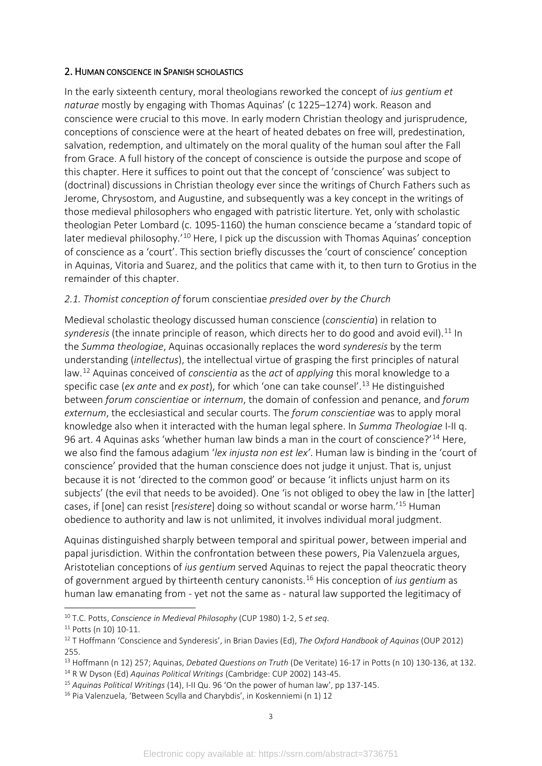#### 2. HUMAN CONSCIENCE IN SPANISH SCHOLASTICS

In the early sixteenth century, moral theologians reworked the concept of *ius gentium et naturae* mostly by engaging with Thomas Aquinas' (c 1225–1274) work. Reason and conscience were crucial to this move. In early modern Christian theology and jurisprudence, conceptions of conscience were at the heart of heated debates on free will, predestination, salvation, redemption, and ultimately on the moral quality of the human soul after the Fall from Grace. A full history of the concept of conscience is outside the purpose and scope of this chapter. Here it suffices to point out that the concept of 'conscience' was subject to (doctrinal) discussions in Christian theology ever since the writings of Church Fathers such as Jerome, Chrysostom, and Augustine, and subsequently was a key concept in the writings of those medieval philosophers who engaged with patristic literture. Yet, only with scholastic theologian Peter Lombard (c. 1095-1160) the human conscience became a 'standard topic of later medieval philosophy.<sup>'[10](#page-7-0)</sup> Here, I pick up the discussion with Thomas Aquinas' conception of conscience as a 'court'. This section briefly discusses the 'court of conscience' conception in Aquinas, Vitoria and Suarez, and the politics that came with it, to then turn to Grotius in the remainder of this chapter.

#### *2.1. Thomist conception of* forum conscientiae *presided over by the Church*

Medieval scholastic theology discussed human conscience (*conscientia*) in relation to synderesis (the innate principle of reason, which directs her to do good and avoid evil).<sup>[11](#page-7-1)</sup> In the *Summa theologiae*, Aquinas occasionally replaces the word *synderesis* by the term understanding (*intellectus*), the intellectual virtue of grasping the first principles of natural law.[12](#page-7-2) Aquinas conceived of *conscientia* as the *act* of *applying* this moral knowledge to a specific case (*ex ante* and *ex post*), for which 'one can take counsel'. [13](#page-7-3) He distinguished between *forum conscientiae* or *internum*, the domain of confession and penance, and *forum externum*, the ecclesiastical and secular courts. The *forum conscientiae* was to apply moral knowledge also when it interacted with the human legal sphere. In *Summa Theologiae* I-II q. 96 art. 4 Aquinas asks 'whether human law binds a man in the court of conscience?'<sup>[14](#page-7-4)</sup> Here, we also find the famous adagium '*lex injusta non est lex'*. Human law is binding in the 'court of conscience' provided that the human conscience does not judge it unjust. That is, unjust because it is not 'directed to the common good' or because 'it inflicts unjust harm on its subjects' (the evil that needs to be avoided). One 'is not obliged to obey the law in [the latter] cases, if [one] can resist [*resistere*] doing so without scandal or worse harm.'[15](#page-7-5) Human obedience to authority and law is not unlimited, it involves individual moral judgment.

Aquinas distinguished sharply between temporal and spiritual power, between imperial and papal jurisdiction. Within the confrontation between these powers, Pia Valenzuela argues, Aristotelian conceptions of *ius gentium* served Aquinas to reject the papal theocratic theory of government argued by thirteenth century canonists.[16](#page-7-6) His conception of *ius gentium* as human law emanating from - yet not the same as - natural law supported the legitimacy of

<span id="page-7-2"></span><span id="page-7-1"></span>

<span id="page-7-0"></span><sup>&</sup>lt;sup>10</sup> T.C. Potts, *Conscience in Medieval Philosophy* (CUP 1980) 1-2, 5 *et seq.*<br><sup>11</sup> Potts (n 10) 10-11.<br><sup>12</sup> T Hoffmann 'Conscience and Synderesis', in Brian Davies (Ed), *The Oxford Handbook of Aquinas* (OUP 2012)

<span id="page-7-3"></span><sup>255.&</sup>lt;br><sup>13</sup> Hoffmann (n 12) 257; Aquinas, *Debated Questions on Truth* (De Veritate) 16-17 in Potts (n 10) 130-136, at 132.<br><sup>14</sup> R W Dyson (Ed) *Aquinas Political Writings* (Cambridge: CUP 2002) 143-45.

<span id="page-7-4"></span>

<span id="page-7-5"></span><sup>15</sup> *Aquinas Political Writings* (14), I-II Qu. 96 'On the power of human law', pp 137-145.

<span id="page-7-6"></span><sup>&</sup>lt;sup>16</sup> Pia Valenzuela, 'Between Scylla and Charybdis', in Koskenniemi (n 1) 12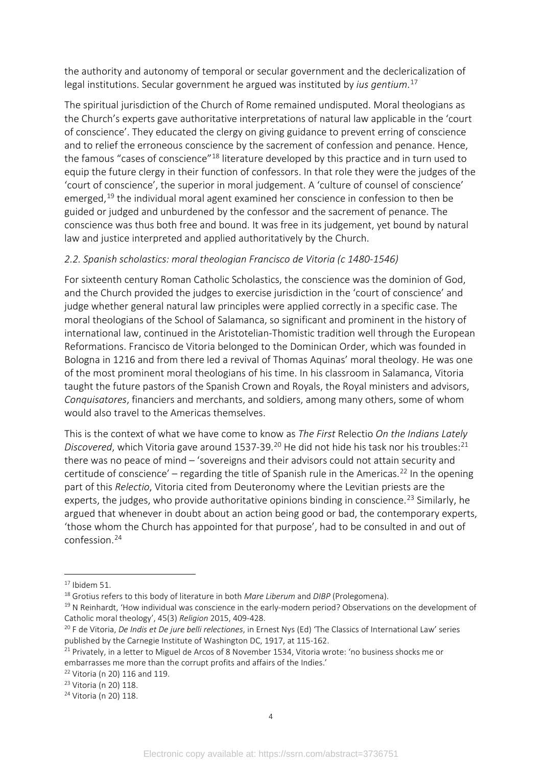the authority and autonomy of temporal or secular government and the declericalization of legal institutions. Secular government he argued was instituted by *ius gentium*. [17](#page-8-0)

The spiritual jurisdiction of the Church of Rome remained undisputed. Moral theologians as the Church's experts gave authoritative interpretations of natural law applicable in the 'court of conscience'. They educated the clergy on giving guidance to prevent erring of conscience and to relief the erroneous conscience by the sacrement of confession and penance. Hence, the famous "cases of conscience"<sup>[18](#page-8-1)</sup> literature developed by this practice and in turn used to equip the future clergy in their function of confessors. In that role they were the judges of the 'court of conscience', the superior in moral judgement. A 'culture of counsel of conscience' emerged,<sup>[19](#page-8-2)</sup> the individual moral agent examined her conscience in confession to then be guided or judged and unburdened by the confessor and the sacrement of penance. The conscience was thus both free and bound. It was free in its judgement, yet bound by natural law and justice interpreted and applied authoritatively by the Church.

# *2.2. Spanish scholastics: moral theologian Francisco de Vitoria (c 1480-1546)*

For sixteenth century Roman Catholic Scholastics, the conscience was the dominion of God, and the Church provided the judges to exercise jurisdiction in the 'court of conscience' and judge whether general natural law principles were applied correctly in a specific case. The moral theologians of the School of Salamanca, so significant and prominent in the history of international law, continued in the Aristotelian-Thomistic tradition well through the European Reformations. Francisco de Vitoria belonged to the Dominican Order, which was founded in Bologna in 1216 and from there led a revival of Thomas Aquinas' moral theology. He was one of the most prominent moral theologians of his time. In his classroom in Salamanca, Vitoria taught the future pastors of the Spanish Crown and Royals, the Royal ministers and advisors, *Conquisatores*, financiers and merchants, and soldiers, among many others, some of whom would also travel to the Americas themselves.

This is the context of what we have come to know as *The First* Relectio *On the Indians Lately*  Discovered, which Vitoria gave around 1537-39.<sup>[20](#page-8-3)</sup> He did not hide his task nor his troubles:<sup>[21](#page-8-4)</sup> there was no peace of mind – 'sovereigns and their advisors could not attain security and certitude of conscience' – regarding the title of Spanish rule in the Americas.<sup>22</sup> In the opening part of this *Relectio*, Vitoria cited from Deuteronomy where the Levitian priests are the experts, the judges, who provide authoritative opinions binding in conscience.<sup>[23](#page-8-6)</sup> Similarly, he argued that whenever in doubt about an action being good or bad, the contemporary experts, 'those whom the Church has appointed for that purpose', had to be consulted in and out of confession.[24](#page-8-7)

<span id="page-8-5"></span> $22$  Vitoria (n 20) 116 and 119.

<span id="page-8-6"></span><sup>23</sup> Vitoria (n 20) 118.

<span id="page-8-7"></span><sup>24</sup> Vitoria (n 20) 118.

<span id="page-8-0"></span> $17$  Ibidem 51.

<span id="page-8-1"></span><sup>18</sup> Grotius refers to this body of literature in both *Mare Liberum* and *DIBP* (Prolegomena).

<span id="page-8-2"></span> $19$  N Reinhardt, 'How individual was conscience in the early-modern period? Observations on the development of Catholic moral theology', 45(3) *Religion* 2015, 409-428.

<span id="page-8-3"></span><sup>20</sup> F de Vitoria, *De Indis et De jure belli relectiones*, in Ernest Nys (Ed) 'The Classics of International Law' series published by the Carnegie Institute of Washington DC, 1917, at 115-162.

<span id="page-8-4"></span> $21$  Privately, in a letter to Miguel de Arcos of 8 November 1534, Vitoria wrote: 'no business shocks me or embarrasses me more than the corrupt profits and affairs of the Indies.'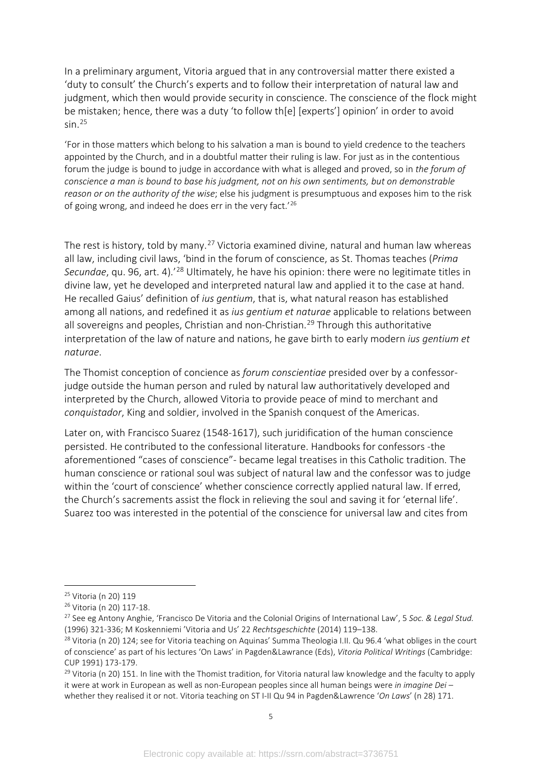In a preliminary argument, Vitoria argued that in any controversial matter there existed a 'duty to consult' the Church's experts and to follow their interpretation of natural law and judgment, which then would provide security in conscience. The conscience of the flock might be mistaken; hence, there was a duty 'to follow th[e] [experts'] opinion' in order to avoid  $sin<sup>25</sup>$  $sin<sup>25</sup>$  $sin<sup>25</sup>$ 

'For in those matters which belong to his salvation a man is bound to yield credence to the teachers appointed by the Church, and in a doubtful matter their ruling is law. For just as in the contentious forum the judge is bound to judge in accordance with what is alleged and proved, so in *the forum of conscience a man is bound to base his judgment, not on his own sentiments, but on demonstrable reason or on the authority of the wise*; else his judgment is presumptuous and exposes him to the risk of going wrong, and indeed he does err in the very fact.'[26](#page-9-1)

The rest is history, told by many.<sup>[27](#page-9-2)</sup> Victoria examined divine, natural and human law whereas all law, including civil laws, 'bind in the forum of conscience, as St. Thomas teaches (*Prima Secundae*, qu. 96, art. 4).'[28](#page-9-3) Ultimately, he have his opinion: there were no legitimate titles in divine law, yet he developed and interpreted natural law and applied it to the case at hand. He recalled Gaius' definition of *ius gentium*, that is, what natural reason has established among all nations, and redefined it as *ius gentium et naturae* applicable to relations between all sovereigns and peoples, Christian and non-Christian.<sup>[29](#page-9-4)</sup> Through this authoritative interpretation of the law of nature and nations, he gave birth to early modern *ius gentium et naturae*.

The Thomist conception of concience as *forum conscientiae* presided over by a confessorjudge outside the human person and ruled by natural law authoritatively developed and interpreted by the Church, allowed Vitoria to provide peace of mind to merchant and *conquistador*, King and soldier, involved in the Spanish conquest of the Americas.

Later on, with Francisco Suarez (1548-1617), such juridification of the human conscience persisted. He contributed to the confessional literature. Handbooks for confessors -the aforementioned "cases of conscience"- became legal treatises in this Catholic tradition. The human conscience or rational soul was subject of natural law and the confessor was to judge within the 'court of conscience' whether conscience correctly applied natural law. If erred, the Church's sacrements assist the flock in relieving the soul and saving it for 'eternal life'. Suarez too was interested in the potential of the conscience for universal law and cites from

<span id="page-9-0"></span><sup>25</sup> Vitoria (n 20) 119

<span id="page-9-1"></span><sup>26</sup> Vitoria (n 20) 117-18.

<span id="page-9-2"></span><sup>27</sup> See eg Antony Anghie, 'Francisco De Vitoria and the Colonial Origins of International Law', 5 *Soc. & Legal Stud.* (1996) 321-336; M Koskenniemi 'Vitoria and Us' 22 *Rechtsgeschichte* (2014) 119–138.<br><sup>28</sup> Vitoria (n 20) 124; see for Vitoria teaching on Aquinas' Summa Theologia I.II. Qu 96.4 'what obliges in the court

<span id="page-9-3"></span>of conscience' as part of his lectures 'On Laws' in Pagden&Lawrance (Eds), *Vitoria Political Writings* (Cambridge: CUP 1991) 173-179.

<span id="page-9-4"></span><sup>&</sup>lt;sup>29</sup> Vitoria (n 20) 151. In line with the Thomist tradition, for Vitoria natural law knowledge and the faculty to apply it were at work in European as well as non-European peoples since all human beings were *in imagine Dei* – whether they realised it or not. Vitoria teaching on ST I-II Qu 94 in Pagden&Lawrence '*On Laws*' (n 28) 171.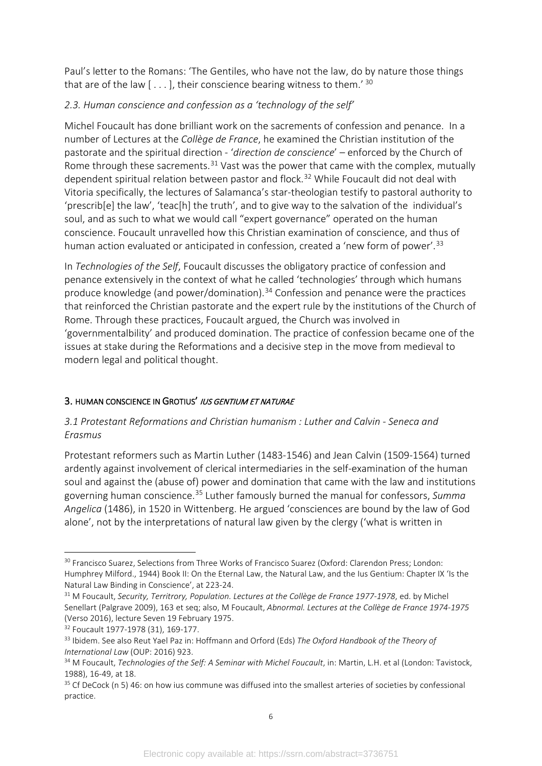Paul's letter to the Romans: 'The Gentiles, who have not the law, do by nature those things that are of the law  $[...]$ , their conscience bearing witness to them.<sup>'[30](#page-10-0)</sup>

# *2.3. Human conscience and confession as a 'technology of the self'*

Michel Foucault has done brilliant work on the sacrements of confession and penance. In a number of Lectures at the *Collège de France*, he examined the Christian institution of the pastorate and the spiritual direction - '*direction de conscience*' – enforced by the Church of Rome through these sacrements.<sup>[31](#page-10-1)</sup> Vast was the power that came with the complex, mutually dependent spiritual relation between pastor and flock.<sup>[32](#page-10-2)</sup> While Foucault did not deal with Vitoria specifically, the lectures of Salamanca's star-theologian testify to pastoral authority to 'prescrib[e] the law', 'teac[h] the truth', and to give way to the salvation of the individual's soul, and as such to what we would call "expert governance" operated on the human conscience. Foucault unravelled how this Christian examination of conscience, and thus of human action evaluated or anticipated in confession, created a 'new form of power'.<sup>[33](#page-10-3)</sup>

In *Technologies of the Self*, Foucault discusses the obligatory practice of confession and penance extensively in the context of what he called 'technologies' through which humans produce knowledge (and power/domination).<sup>[34](#page-10-4)</sup> Confession and penance were the practices that reinforced the Christian pastorate and the expert rule by the institutions of the Church of Rome. Through these practices, Foucault argued, the Church was involved in 'governmentalbility' and produced domination. The practice of confession became one of the issues at stake during the Reformations and a decisive step in the move from medieval to modern legal and political thought.

# 3. HUMAN CONSCIENCE IN GROTIUS' IUS GENTIUM ET NATURAE

# *3.1 Protestant Reformations and Christian humanism : Luther and Calvin - Seneca and Erasmus*

Protestant reformers such as Martin Luther (1483-1546) and Jean Calvin (1509-1564) turned ardently against involvement of clerical intermediaries in the self-examination of the human soul and against the (abuse of) power and domination that came with the law and institutions governing human conscience.[35](#page-10-5) Luther famously burned the manual for confessors, *Summa Angelica* (1486), in 1520 in Wittenberg. He argued 'consciences are bound by the law of God alone', not by the interpretations of natural law given by the clergy ('what is written in

<span id="page-10-0"></span><sup>&</sup>lt;sup>30</sup> Francisco Suarez, Selections from Three Works of Francisco Suarez (Oxford: Clarendon Press; London: Humphrey Milford., 1944) Book II: On the Eternal Law, the Natural Law, and the Ius Gentium: Chapter IX 'Is the Natural Law Binding in Conscience', at 223-24.

<span id="page-10-1"></span><sup>31</sup> M Foucault, *Security, Territrory, Population. Lectures at the Collège de France 1977-1978*, ed. by Michel Senellart (Palgrave 2009), 163 et seq; also, M Foucault, *Abnormal. Lectures at the Collège de France 1974-1975* (Verso 2016), lecture Seven 19 February 1975.

<span id="page-10-2"></span><sup>32</sup> Foucault 1977-1978 (31), 169-177.

<span id="page-10-3"></span><sup>33</sup> Ibidem. See also Reut Yael Paz in: Hoffmann and Orford (Eds) *The Oxford Handbook of the Theory of International Law* (OUP: 2016) 923.

<span id="page-10-4"></span><sup>34</sup> M Foucault, *Technologies of the Self: A Seminar with Michel Foucault*, in: Martin, L.H. et al (London: Tavistock, 1988), 16-49, at 18.

<span id="page-10-5"></span><sup>&</sup>lt;sup>35</sup> Cf DeCock (n 5) 46: on how ius commune was diffused into the smallest arteries of societies by confessional practice.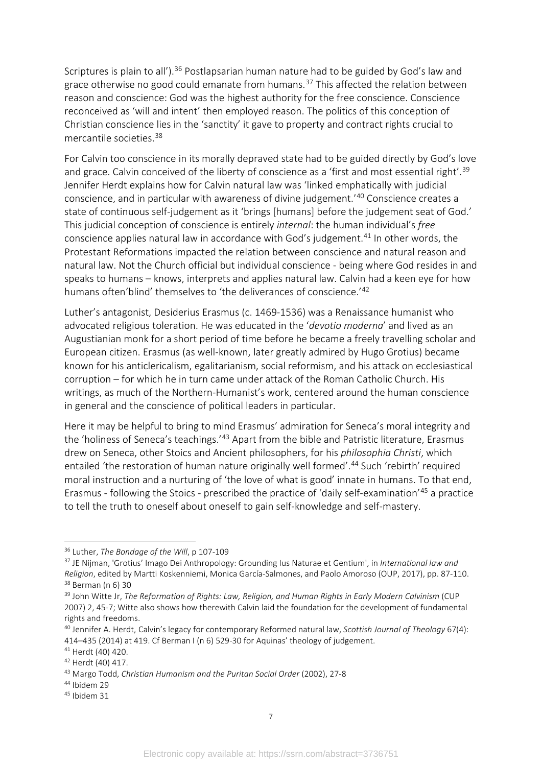Scriptures is plain to all').<sup>[36](#page-11-0)</sup> Postlapsarian human nature had to be guided by God's law and grace otherwise no good could emanate from humans.<sup>[37](#page-11-1)</sup> This affected the relation between reason and conscience: God was the highest authority for the free conscience. Conscience reconceived as 'will and intent' then employed reason. The politics of this conception of Christian conscience lies in the 'sanctity' it gave to property and contract rights crucial to mercantile societies. [38](#page-11-2)

For Calvin too conscience in its morally depraved state had to be guided directly by God's love and grace. Calvin conceived of the liberty of conscience as a 'first and most essential right'.<sup>[39](#page-11-3)</sup> Jennifer Herdt explains how for Calvin natural law was 'linked emphatically with judicial conscience, and in particular with awareness of divine judgement.'[40](#page-11-4) Conscience creates a state of continuous self-judgement as it 'brings [humans] before the judgement seat of God.' This judicial conception of conscience is entirely *internal*: the human individual's *free* conscience applies natural law in accordance with God's judgement.<sup>[41](#page-11-5)</sup> In other words, the Protestant Reformations impacted the relation between conscience and natural reason and natural law. Not the Church official but individual conscience - being where God resides in and speaks to humans – knows, interprets and applies natural law. Calvin had a keen eye for how humans often'blind' themselves to 'the deliverances of conscience.'<sup>[42](#page-11-6)</sup>

Luther's antagonist, Desiderius Erasmus (c. 1469-1536) was a Renaissance humanist who advocated religious toleration. He was educated in the '*devotio moderna*' and lived as an Augustianian monk for a short period of time before he became a freely travelling scholar and European citizen. Erasmus (as well-known, later greatly admired by Hugo Grotius) became known for his anticlericalism, egalitarianism, social reformism, and his attack on ecclesiastical corruption – for which he in turn came under attack of the Roman Catholic Church. His writings, as much of the Northern-Humanist's work, centered around the human conscience in general and the conscience of political leaders in particular.

Here it may be helpful to bring to mind Erasmus' admiration for Seneca's moral integrity and the 'holiness of Seneca's teachings.'<sup>[43](#page-11-7)</sup> Apart from the bible and Patristic literature, Erasmus drew on Seneca, other Stoics and Ancient philosophers, for his *philosophia Christi*, which entailed 'the restoration of human nature originally well formed'.<sup>[44](#page-11-8)</sup> Such 'rebirth' required moral instruction and a nurturing of 'the love of what is good' innate in humans. To that end, Erasmus - following the Stoics - prescribed the practice of 'daily self-examination'[45](#page-11-9) a practice to tell the truth to oneself about oneself to gain self-knowledge and self-mastery.

<span id="page-11-1"></span><sup>37</sup> JE Nijman, 'Grotius' Imago Dei Anthropology: Grounding Ius Naturae et Gentium', in *International law and Religion*, edited by Martti Koskenniemi, Monica García-Salmones, and Paolo Amoroso (OUP, 2017), pp. 87-110. <sup>38</sup> Berman (n 6) 30

<span id="page-11-0"></span><sup>&</sup>lt;sup>36</sup> Luther, *The Bondage of the Will*, p 107-109

<span id="page-11-3"></span><span id="page-11-2"></span><sup>39</sup> John Witte Jr, *The Reformation of Rights: Law, Religion, and Human Rights in Early Modern Calvinism* (CUP 2007) 2, 45-7; Witte also shows how therewith Calvin laid the foundation for the development of fundamental rights and freedoms.<br><sup>40</sup> Jennifer A. Herdt, Calvin's legacy for contemporary Reformed natural law, *Scottish Journal of Theology* 67(4):

<span id="page-11-4"></span><sup>414–435 (2014)</sup> at 419. Cf Berman I (n 6) 529-30 for Aquinas' theology of judgement.

<span id="page-11-5"></span><sup>41</sup> Herdt (40) 420.

<span id="page-11-7"></span><span id="page-11-6"></span><sup>42</sup> Herdt (40) 417. 43 Margo Todd, *Christian Humanism and the Puritan Social Order* (2002), 27-8

<span id="page-11-8"></span><sup>44</sup> Ibidem 29

<span id="page-11-9"></span><sup>45</sup> Ibidem 31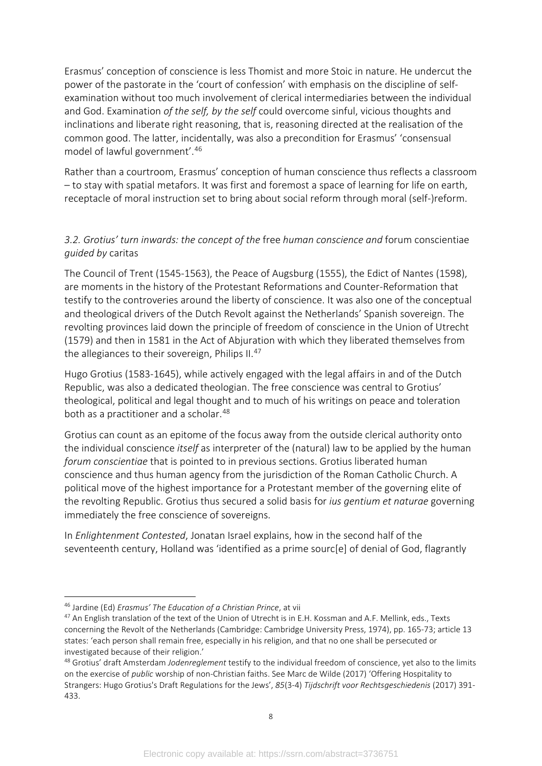Erasmus' conception of conscience is less Thomist and more Stoic in nature. He undercut the power of the pastorate in the 'court of confession' with emphasis on the discipline of selfexamination without too much involvement of clerical intermediaries between the individual and God. Examination *of the self, by the self* could overcome sinful, vicious thoughts and inclinations and liberate right reasoning, that is, reasoning directed at the realisation of the common good. The latter, incidentally, was also a precondition for Erasmus' 'consensual model of lawful government'.[46](#page-12-0)

Rather than a courtroom, Erasmus' conception of human conscience thus reflects a classroom – to stay with spatial metafors. It was first and foremost a space of learning for life on earth, receptacle of moral instruction set to bring about social reform through moral (self-)reform.

### *3.2. Grotius' turn inwards: the concept of the* free *human conscience and* forum conscientiae *guided by* caritas

The Council of Trent (1545-1563), the Peace of Augsburg (1555), the Edict of Nantes (1598), are moments in the history of the Protestant Reformations and Counter-Reformation that testify to the controveries around the liberty of conscience. It was also one of the conceptual and theological drivers of the Dutch Revolt against the Netherlands' Spanish sovereign. The revolting provinces laid down the principle of freedom of conscience in the Union of Utrecht (1579) and then in 1581 in the Act of Abjuration with which they liberated themselves from the allegiances to their sovereign, Philips II.<sup>[47](#page-12-1)</sup>

Hugo Grotius (1583-1645), while actively engaged with the legal affairs in and of the Dutch Republic, was also a dedicated theologian. The free conscience was central to Grotius' theological, political and legal thought and to much of his writings on peace and toleration both as a practitioner and a scholar.<sup>48</sup>

Grotius can count as an epitome of the focus away from the outside clerical authority onto the individual conscience *itself* as interpreter of the (natural) law to be applied by the human *forum conscientiae* that is pointed to in previous sections. Grotius liberated human conscience and thus human agency from the jurisdiction of the Roman Catholic Church. A political move of the highest importance for a Protestant member of the governing elite of the revolting Republic. Grotius thus secured a solid basis for *ius gentium et naturae* governing immediately the free conscience of sovereigns.

In *Enlightenment Contested*, Jonatan Israel explains, how in the second half of the seventeenth century, Holland was 'identified as a prime sourc[e] of denial of God, flagrantly

<span id="page-12-0"></span><sup>46</sup> Jardine (Ed) *Erasmus' The Education of a Christian Prince*, at vii

<span id="page-12-1"></span><sup>&</sup>lt;sup>47</sup> An English translation of the text of the Union of Utrecht is in E.H. Kossman and A.F. Mellink, eds., Texts concerning the Revolt of the Netherlands (Cambridge: Cambridge University Press, 1974), pp. 165-73; article 13 states: 'each person shall remain free, especially in his religion, and that no one shall be persecuted or investigated because of their religion.'

<span id="page-12-2"></span><sup>48</sup> Grotius' draft Amsterdam *Jodenreglement* testify to the individual freedom of conscience, yet also to the limits on the exercise of *public* worship of non-Christian faiths. See Marc de Wilde (2017) 'Offering Hospitality to Strangers: Hugo Grotius's Draft Regulations for the Jews', *85*(3-4) *Tijdschrift voor Rechtsgeschiedenis* (2017) 391- 433.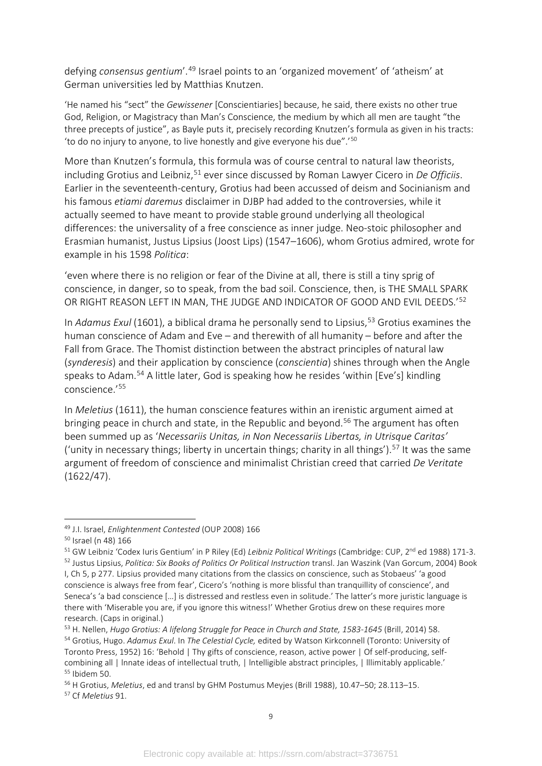defying *consensus gentium*'.[49](#page-13-0) Israel points to an 'organized movement' of 'atheism' at German universities led by Matthias Knutzen.

'He named his "sect" the *Gewissener* [Conscientiaries] because, he said, there exists no other true God, Religion, or Magistracy than Man's Conscience, the medium by which all men are taught "the three precepts of justice", as Bayle puts it, precisely recording Knutzen's formula as given in his tracts: 'to do no injury to anyone, to live honestly and give everyone his due".'[50](#page-13-1)

More than Knutzen's formula, this formula was of course central to natural law theorists, including Grotius and Leibniz,<sup>[51](#page-13-2)</sup> ever since discussed by Roman Lawyer Cicero in *De Officiis*. Earlier in the seventeenth-century, Grotius had been accussed of deism and Socinianism and his famous *etiami daremus* disclaimer in DJBP had added to the controversies, while it actually seemed to have meant to provide stable ground underlying all theological differences: the universality of a free conscience as inner judge. Neo-stoic philosopher and Erasmian humanist, Justus Lipsius (Joost Lips) (1547–1606), whom Grotius admired, wrote for example in his 1598 *Politica*:

'even where there is no religion or fear of the Divine at all, there is still a tiny sprig of conscience, in danger, so to speak, from the bad soil. Conscience, then, is THE SMALL SPARK OR RIGHT REASON LEFT IN MAN, THE JUDGE AND INDICATOR OF GOOD AND EVIL DEEDS.<sup>'[52](#page-13-3)</sup>

In *Adamus Exul* (1601), a biblical drama he personally send to Lipsius,<sup>[53](#page-13-4)</sup> Grotius examines the human conscience of Adam and Eve – and therewith of all humanity – before and after the Fall from Grace. The Thomist distinction between the abstract principles of natural law (*synderesis*) and their application by conscience (*conscientia*) shines through when the Angle speaks to Adam. [54](#page-13-5) A little later, God is speaking how he resides 'within [Eve's] kindling conscience.'[55](#page-13-6)

In *Meletius* (1611), the human conscience features within an irenistic argument aimed at bringing peace in church and state, in the Republic and beyond.<sup>[56](#page-13-7)</sup> The argument has often been summed up as '*Necessariis Unitas, in Non Necessariis Libertas, in Utrisque Caritas'* ('unity in necessary things; liberty in uncertain things; charity in all things').<sup>[57](#page-13-8)</sup> It was the same argument of freedom of conscience and minimalist Christian creed that carried *De Veritate* (1622/47).

<span id="page-13-3"></span><span id="page-13-2"></span><sup>51</sup> GW Leibniz 'Codex Iuris Gentium' in P Riley (Ed) *Leibniz Political Writings* (Cambridge: CUP, 2<sup>nd</sup> ed 1988) 171-3. <sup>52</sup> Justus Lipsius, *Politica: Six Books of Politics Or Political Instruction* transl. Jan Waszink (Van Gorcum, 2004) Book

<span id="page-13-0"></span><sup>49</sup> J.I. Israel, *Enlightenment Contested* (OUP 2008) 166

<span id="page-13-1"></span><sup>50</sup> Israel (n 48) 166

I, Ch 5, p 277. Lipsius provided many citations from the classics on conscience, such as Stobaeus' 'a good conscience is always free from fear', Cicero's 'nothing is more blissful than tranquillity of conscience', and Seneca's 'a bad conscience […] is distressed and restless even in solitude.' The latter's more juristic language is there with 'Miserable you are, if you ignore this witness!' Whether Grotius drew on these requires more research. (Caps in original.)

<span id="page-13-5"></span><span id="page-13-4"></span><sup>53</sup> H. Nellen, *Hugo Grotius: A lifelong Struggle for Peace in Church and State, 1583-1645* (Brill, 2014) 58. <sup>54</sup> Grotius, Hugo. *Adamus Exul*. In *The Celestial Cycle,* edited by Watson Kirkconnell (Toronto: University of Toronto Press, 1952) 16: 'Behold | Thy gifts of conscience, reason, active power | Of self-producing, selfcombining all | Innate ideas of intellectual truth, | Intelligible abstract principles, | Illimitably applicable.' <sup>55</sup> Ibidem 50.

<span id="page-13-8"></span><span id="page-13-7"></span><span id="page-13-6"></span><sup>56</sup> H Grotius, *Meletius*, ed and transl by GHM Postumus Meyjes (Brill 1988), 10.47–50; 28.113–15.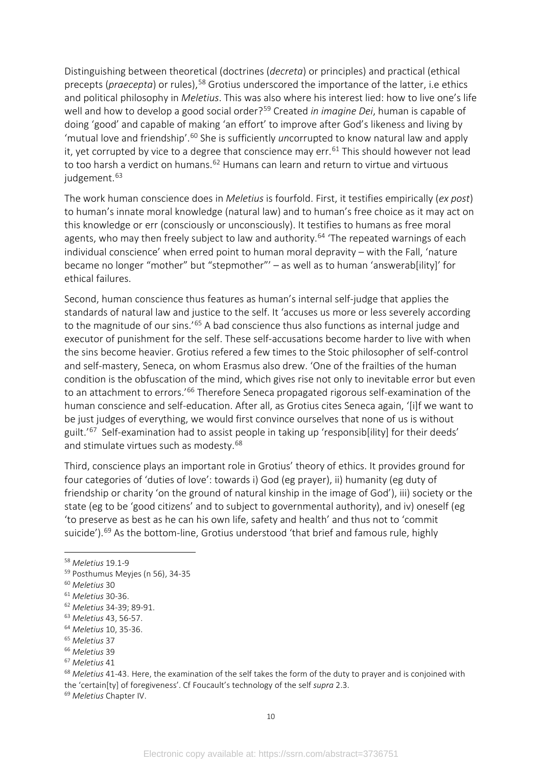Distinguishing between theoretical (doctrines (*decreta*) or principles) and practical (ethical precepts (praecepta) or rules),<sup>[58](#page-14-0)</sup> Grotius underscored the importance of the latter, i.e ethics and political philosophy in *Meletius*. This was also where his interest lied: how to live one's life well and how to develop a good social order?[59](#page-14-1) Created *in imagine Dei*, human is capable of doing 'good' and capable of making 'an effort' to improve after God's likeness and living by 'mutual love and friendship'. [60](#page-14-2) She is sufficiently *un*corrupted to know natural law and apply it, yet corrupted by vice to a degree that conscience may err.<sup>[61](#page-14-3)</sup> This should however not lead to too harsh a verdict on humans.<sup>[62](#page-14-4)</sup> Humans can learn and return to virtue and virtuous judgement.<sup>[63](#page-14-5)</sup>

The work human conscience does in *Meletius* is fourfold. First, it testifies empirically (*ex post*) to human's innate moral knowledge (natural law) and to human's free choice as it may act on this knowledge or err (consciously or unconsciously). It testifies to humans as free moral agents, who may then freely subject to law and authority.<sup>[64](#page-14-6)</sup> 'The repeated warnings of each individual conscience' when erred point to human moral depravity – with the Fall, 'nature became no longer "mother" but "stepmother"' – as well as to human 'answerab[ility]' for ethical failures.

Second, human conscience thus features as human's internal self-judge that applies the standards of natural law and justice to the self. It 'accuses us more or less severely according to the magnitude of our sins.<sup>'[65](#page-14-7)</sup> A bad conscience thus also functions as internal judge and executor of punishment for the self. These self-accusations become harder to live with when the sins become heavier. Grotius refered a few times to the Stoic philosopher of self-control and self-mastery, Seneca, on whom Erasmus also drew. 'One of the frailties of the human condition is the obfuscation of the mind, which gives rise not only to inevitable error but even to an attachment to errors.<sup>'[66](#page-14-8)</sup> Therefore Seneca propagated rigorous self-examination of the human conscience and self-education. After all, as Grotius cites Seneca again, '[i]f we want to be just judges of everything, we would first convince ourselves that none of us is without guilt.<sup>'[67](#page-14-9)</sup> Self-examination had to assist people in taking up 'responsib[ility] for their deeds' and stimulate virtues such as modesty.<sup>[68](#page-14-10)</sup>

Third, conscience plays an important role in Grotius' theory of ethics. It provides ground for four categories of 'duties of love': towards i) God (eg prayer), ii) humanity (eg duty of friendship or charity 'on the ground of natural kinship in the image of God'), iii) society or the state (eg to be 'good citizens' and to subject to governmental authority), and iv) oneself (eg 'to preserve as best as he can his own life, safety and health' and thus not to 'commit suicide').<sup>[69](#page-14-11)</sup> As the bottom-line, Grotius understood 'that brief and famous rule, highly

<span id="page-14-10"></span><sup>68</sup> *Meletius* 41-43. Here, the examination of the self takes the form of the duty to prayer and is conjoined with the 'certain[ty] of foregiveness'. Cf Foucault's technology of the self *supra* 2.3.

<span id="page-14-11"></span><sup>69</sup> *Meletius* Chapter IV.

<span id="page-14-0"></span><sup>58</sup> *Meletius* 19.1-9

<span id="page-14-1"></span><sup>59</sup> Posthumus Meyjes (n 56), 34-35

<span id="page-14-2"></span><sup>60</sup> *Meletius* 30

<span id="page-14-3"></span><sup>61</sup> *Meletius* 30-36.

<span id="page-14-4"></span><sup>62</sup> *Meletius* 34-39; 89-91.

<span id="page-14-5"></span><sup>63</sup> *Meletius* 43, 56-57.

<span id="page-14-6"></span><sup>64</sup> *Meletius* 10, 35-36.

<span id="page-14-7"></span><sup>65</sup> *Meletius* 37

<span id="page-14-8"></span><sup>66</sup> *Meletius* 39

<span id="page-14-9"></span><sup>67</sup> *Meletius* 41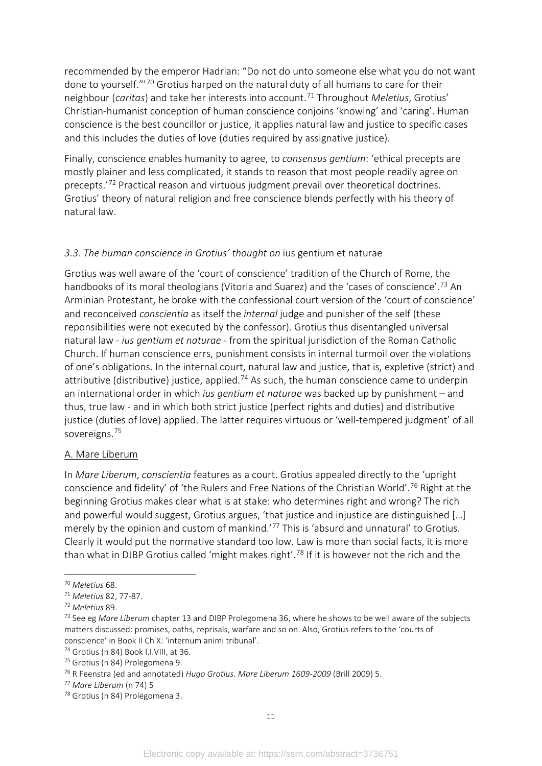recommended by the emperor Hadrian: "Do not do unto someone else what you do not want done to yourself."'[70](#page-15-0) Grotius harped on the natural duty of all humans to care for their neighbour (*caritas*) and take her interests into account.[71](#page-15-1) Throughout *Meletius*, Grotius' Christian-humanist conception of human conscience conjoins 'knowing' and 'caring'. Human conscience is the best councillor or justice, it applies natural law and justice to specific cases and this includes the duties of love (duties required by assignative justice).

Finally, conscience enables humanity to agree, to *consensus gentium*: 'ethical precepts are mostly plainer and less complicated, it stands to reason that most people readily agree on precepts.'[72](#page-15-2) Practical reason and virtuous judgment prevail over theoretical doctrines. Grotius' theory of natural religion and free conscience blends perfectly with his theory of natural law.

#### *3.3. The human conscience in Grotius' thought on* ius gentium et naturae

Grotius was well aware of the 'court of conscience' tradition of the Church of Rome, the handbooks of its moral theologians (Vitoria and Suarez) and the 'cases of conscience'.<sup>[73](#page-15-3)</sup> An Arminian Protestant, he broke with the confessional court version of the 'court of conscience' and reconceived *conscientia* as itself the *internal* judge and punisher of the self (these reponsibilities were not executed by the confessor). Grotius thus disentangled universal natural law - *ius gentium et naturae* - from the spiritual jurisdiction of the Roman Catholic Church. If human conscience errs, punishment consists in internal turmoil over the violations of one's obligations. In the internal court, natural law and justice, that is, expletive (strict) and attributive (distributive) justice, applied.<sup>[74](#page-15-4)</sup> As such, the human conscience came to underpin an international order in which *ius gentium et naturae* was backed up by punishment – and thus, true law - and in which both strict justice (perfect rights and duties) and distributive justice (duties of love) applied. The latter requires virtuous or 'well-tempered judgment' of all sovereigns.<sup>[75](#page-15-5)</sup>

#### A. Mare Liberum

In *Mare Liberum*, *conscientia* features as a court. Grotius appealed directly to the 'upright conscience and fidelity' of 'the Rulers and Free Nations of the Christian World'.[76](#page-15-6) Right at the beginning Grotius makes clear what is at stake: who determines right and wrong? The rich and powerful would suggest, Grotius argues, 'that justice and injustice are distinguished [...] merely by the opinion and custom of mankind.<sup>'[77](#page-15-7)</sup> This is 'absurd and unnatural' to Grotius. Clearly it would put the normative standard too low. Law is more than social facts, it is more than what in DJBP Grotius called 'might makes right'.<sup>[78](#page-15-8)</sup> If it is however not the rich and the

<span id="page-15-0"></span><sup>70</sup> *Meletius* 68.

<span id="page-15-1"></span><sup>71</sup> *Meletius* 82, 77-87.

<span id="page-15-2"></span><sup>72</sup> *Meletius* 89.

<span id="page-15-3"></span><sup>73</sup> See eg *Mare Liberum* chapter 13 and DIBP Prolegomena 36, where he shows to be well aware of the subjects matters discussed: promises, oaths, reprisals, warfare and so on. Also, Grotius refers to the 'courts of conscience' in Book II Ch X: 'internum animi tribunal'.

<span id="page-15-4"></span><sup>74</sup> Grotius (n 84) Book I.I.VIII, at 36.

<span id="page-15-5"></span><sup>75</sup> Grotius (n 84) Prolegomena 9.

<span id="page-15-6"></span><sup>76</sup> R Feenstra (ed and annotated) *Hugo Grotius. Mare Liberum 1609-2009* (Brill 2009) 5.

<span id="page-15-7"></span><sup>77</sup> *Mare Liberum* (n 74) 5

<span id="page-15-8"></span><sup>78</sup> Grotius (n 84) Prolegomena 3.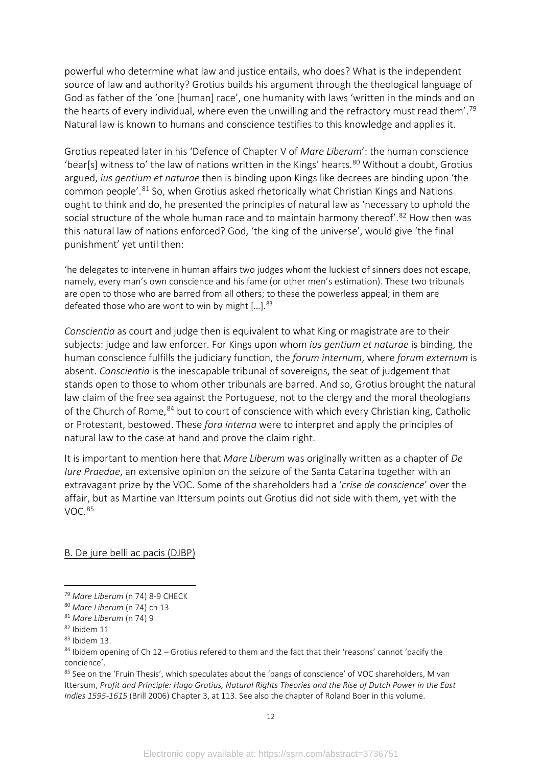powerful who determine what law and justice entails, who does? What is the independent source of law and authority? Grotius builds his argument through the theological language of God as father of the 'one [human] race', one humanity with laws 'written in the minds and on the hearts of every individual, where even the unwilling and the refractory must read them'.<sup>[79](#page-16-0)</sup> Natural law is known to humans and conscience testifies to this knowledge and applies it.

Grotius repeated later in his 'Defence of Chapter V of *Mare Liberum*': the human conscience 'bear[s] witness to' the law of nations written in the Kings' hearts.<sup>[80](#page-16-1)</sup> Without a doubt, Grotius argued, *ius gentium et naturae* then is binding upon Kings like decrees are binding upon 'the common people'.[81](#page-16-2) So, when Grotius asked rhetorically what Christian Kings and Nations ought to think and do, he presented the principles of natural law as 'necessary to uphold the social structure of the whole human race and to maintain harmony thereof'.<sup>[82](#page-16-3)</sup> How then was this natural law of nations enforced? God, 'the king of the universe', would give 'the final punishment' yet until then:

'he delegates to intervene in human affairs two judges whom the luckiest of sinners does not escape, namely, every man's own conscience and his fame (or other men's estimation). These two tribunals are open to those who are barred from all others; to these the powerless appeal; in them are defeated those who are wont to win by might [...].<sup>[83](#page-16-4)</sup>

*Conscientia* as court and judge then is equivalent to what King or magistrate are to their subjects: judge and law enforcer. For Kings upon whom *ius gentium et naturae* is binding, the human conscience fulfills the judiciary function, the *forum internum*, where *forum externum* is absent. *Conscientia* is the inescapable tribunal of sovereigns, the seat of judgement that stands open to those to whom other tribunals are barred. And so, Grotius brought the natural law claim of the free sea against the Portuguese, not to the clergy and the moral theologians of the Church of Rome, <sup>[84](#page-16-5)</sup> but to court of conscience with which every Christian king, Catholic or Protestant, bestowed. These *fora interna* were to interpret and apply the principles of natural law to the case at hand and prove the claim right.

It is important to mention here that *Mare Liberum* was originally written as a chapter of *De Iure Praedae*, an extensive opinion on the seizure of the Santa Catarina together with an extravagant prize by the VOC. Some of the shareholders had a '*crise de conscience*' over the affair, but as Martine van Ittersum points out Grotius did not side with them, yet with the VOC.[85](#page-16-6)

B. De jure belli ac pacis (DJBP)

<span id="page-16-0"></span><sup>79</sup> *Mare Liberum* (n 74) 8-9 CHECK

<span id="page-16-1"></span><sup>80</sup> *Mare Liberum* (n 74) ch 13

<span id="page-16-2"></span><sup>81</sup> *Mare Liberum* (n 74) 9

<span id="page-16-3"></span><sup>82</sup> Ibidem 11

<span id="page-16-4"></span><sup>83</sup> Ibidem 13.

<span id="page-16-5"></span><sup>84</sup> Ibidem opening of Ch 12 – Grotius refered to them and the fact that their 'reasons' cannot 'pacify the concience'.

<span id="page-16-6"></span><sup>&</sup>lt;sup>85</sup> See on the 'Fruin Thesis', which speculates about the 'pangs of conscience' of VOC shareholders, M van Ittersum, *Profit and Principle: Hugo Grotius, Natural Rights Theories and the Rise of Dutch Power in the East Indies 1595-1615* (Brill 2006) Chapter 3, at 113. See also the chapter of Roland Boer in this volume.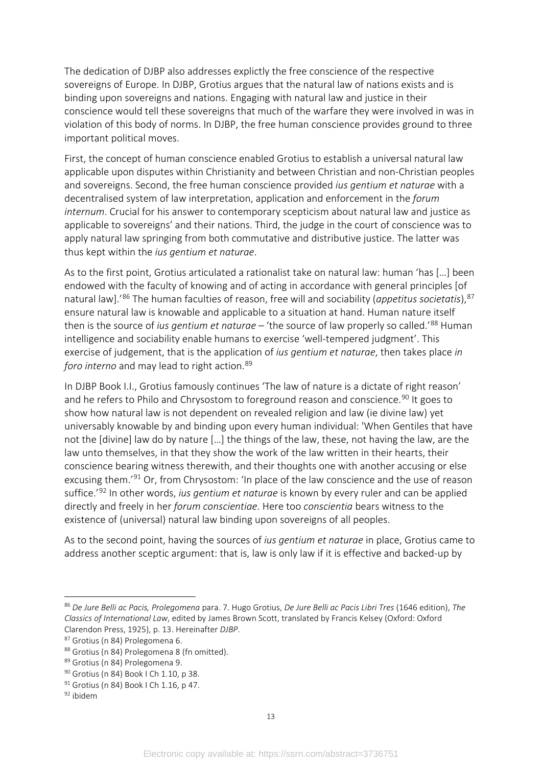The dedication of DJBP also addresses explictly the free conscience of the respective sovereigns of Europe. In DJBP, Grotius argues that the natural law of nations exists and is binding upon sovereigns and nations. Engaging with natural law and justice in their conscience would tell these sovereigns that much of the warfare they were involved in was in violation of this body of norms. In DJBP, the free human conscience provides ground to three important political moves.

First, the concept of human conscience enabled Grotius to establish a universal natural law applicable upon disputes within Christianity and between Christian and non-Christian peoples and sovereigns. Second, the free human conscience provided *ius gentium et naturae* with a decentralised system of law interpretation, application and enforcement in the *forum internum*. Crucial for his answer to contemporary scepticism about natural law and justice as applicable to sovereigns' and their nations. Third, the judge in the court of conscience was to apply natural law springing from both commutative and distributive justice. The latter was thus kept within the *ius gentium et naturae*.

As to the first point, Grotius articulated a rationalist take on natural law: human 'has […] been endowed with the faculty of knowing and of acting in accordance with general principles [of natural law].'[86](#page-17-0) The human faculties of reason, free will and sociability (*appetitus societatis*), [87](#page-17-1) ensure natural law is knowable and applicable to a situation at hand. Human nature itself then is the source of *ius gentium et naturae* – 'the source of law properly so called.'[88](#page-17-2) Human intelligence and sociability enable humans to exercise 'well-tempered judgment'. This exercise of judgement, that is the application of *ius gentium et naturae*, then takes place *in foro interno* and may lead to right action.<sup>[89](#page-17-3)</sup>

In DJBP Book I.I., Grotius famously continues 'The law of nature is a dictate of right reason' and he refers to Philo and Chrysostom to foreground reason and conscience.<sup>[90](#page-17-4)</sup> It goes to show how natural law is not dependent on revealed religion and law (ie divine law) yet universably knowable by and binding upon every human individual: 'When Gentiles that have not the [divine] law do by nature […] the things of the law, these, not having the law, are the law unto themselves, in that they show the work of the law written in their hearts, their conscience bearing witness therewith, and their thoughts one with another accusing or else excusing them.<sup>'[91](#page-17-5)</sup> Or, from Chrysostom: 'In place of the law conscience and the use of reason suffice.'[92](#page-17-6) In other words, *ius gentium et naturae* is known by every ruler and can be applied directly and freely in her *forum conscientiae*. Here too *conscientia* bears witness to the existence of (universal) natural law binding upon sovereigns of all peoples.

As to the second point, having the sources of *ius gentium et naturae* in place, Grotius came to address another sceptic argument: that is, law is only law if it is effective and backed-up by

<span id="page-17-0"></span><sup>86</sup> *De Jure Belli ac Pacis, Prolegomena* para. 7. Hugo Grotius, *De Jure Belli ac Pacis Libri Tres* (1646 edition), *The Classics of International Law*, edited by James Brown Scott, translated by Francis Kelsey (Oxford: Oxford Clarendon Press, 1925), p. 13. Hereinafter *DJBP*. 87 Grotius (n 84) Prolegomena 6.

<span id="page-17-1"></span>

<span id="page-17-2"></span><sup>88</sup> Grotius (n 84) Prolegomena 8 (fn omitted).

<span id="page-17-3"></span><sup>89</sup> Grotius (n 84) Prolegomena 9.

<span id="page-17-4"></span><sup>90</sup> Grotius (n 84) Book | Ch 1.10, p 38.

<span id="page-17-5"></span> $91$  Grotius (n 84) Book I Ch 1.16, p 47.

<span id="page-17-6"></span><sup>92</sup> ibidem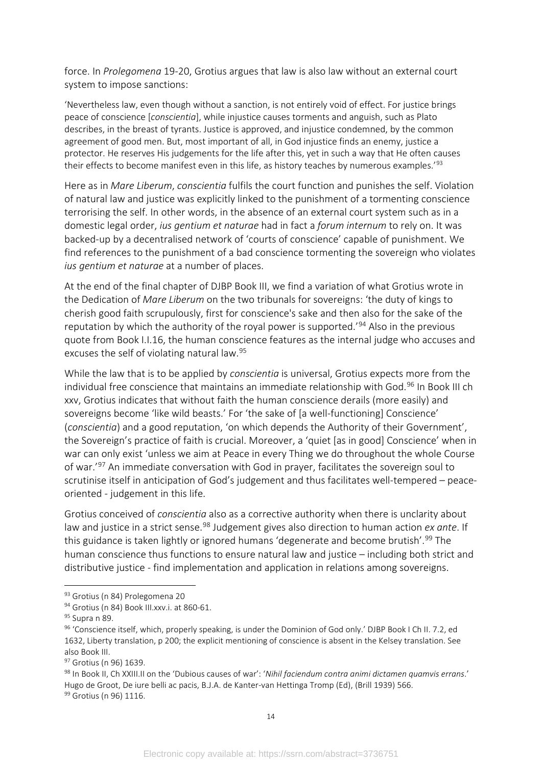force. In *Prolegomena* 19-20, Grotius argues that law is also law without an external court system to impose sanctions:

'Nevertheless law, even though without a sanction, is not entirely void of effect. For justice brings peace of conscience [*conscientia*], while injustice causes torments and anguish, such as Plato describes, in the breast of tyrants. Justice is approved, and injustice condemned, by the common agreement of good men. But, most important of all, in God injustice finds an enemy, justice a protector. He reserves His judgements for the life after this, yet in such a way that He often causes their effects to become manifest even in this life, as history teaches by numerous examples.<sup>1[93](#page-18-0)</sup>

Here as in *Mare Liberum*, *conscientia* fulfils the court function and punishes the self. Violation of natural law and justice was explicitly linked to the punishment of a tormenting conscience terrorising the self. In other words, in the absence of an external court system such as in a domestic legal order, *ius gentium et naturae* had in fact a *forum internum* to rely on. It was backed-up by a decentralised network of 'courts of conscience' capable of punishment. We find references to the punishment of a bad conscience tormenting the sovereign who violates *ius gentium et naturae* at a number of places.

At the end of the final chapter of DJBP Book III, we find a variation of what Grotius wrote in the Dedication of *Mare Liberum* on the two tribunals for sovereigns: 'the duty of kings to cherish good faith scrupulously, first for conscience's sake and then also for the sake of the reputation by which the authority of the royal power is supported.<sup>'[94](#page-18-1)</sup> Also in the previous quote from Book I.I.16, the human conscience features as the internal judge who accuses and excuses the self of violating natural law.<sup>[95](#page-18-2)</sup>

While the law that is to be applied by *conscientia* is universal, Grotius expects more from the individual free conscience that maintains an immediate relationship with God.<sup>[96](#page-18-3)</sup> In Book III ch xxv, Grotius indicates that without faith the human conscience derails (more easily) and sovereigns become 'like wild beasts.' For 'the sake of [a well-functioning] Conscience' (*conscientia*) and a good reputation, 'on which depends the Authority of their Government', the Sovereign's practice of faith is crucial. Moreover, a 'quiet [as in good] Conscience' when in war can only exist 'unless we aim at Peace in every Thing we do throughout the whole Course of war.'[97](#page-18-4) An immediate conversation with God in prayer, facilitates the sovereign soul to scrutinise itself in anticipation of God's judgement and thus facilitates well-tempered – peaceoriented - judgement in this life.

Grotius conceived of *conscientia* also as a corrective authority when there is unclarity about law and justice in a strict sense. [98](#page-18-5) Judgement gives also direction to human action *ex ante*. If this guidance is taken lightly or ignored humans 'degenerate and become brutish'.<sup>[99](#page-18-6)</sup> The human conscience thus functions to ensure natural law and justice – including both strict and distributive justice - find implementation and application in relations among sovereigns.

<span id="page-18-0"></span><sup>93</sup> Grotius (n 84) Prolegomena 20

<span id="page-18-1"></span><sup>94</sup> Grotius (n 84) Book III.xxv.i. at 860-61.

<span id="page-18-2"></span><sup>95</sup> Supra n 89.

<span id="page-18-3"></span><sup>96 &#</sup>x27;Conscience itself, which, properly speaking, is under the Dominion of God only.' DJBP Book I Ch II. 7.2, ed 1632, Liberty translation, p 200; the explicit mentioning of conscience is absent in the Kelsey translation. See also Book III.

<span id="page-18-4"></span><sup>97</sup> Grotius (n 96) 1639.

<span id="page-18-6"></span><span id="page-18-5"></span><sup>98</sup> In Book II, Ch XXIII.II on the 'Dubious causes of war': '*Nihil faciendum contra animi dictamen quamvis errans*.' Hugo de Groot, De iure belli ac pacis, B.J.A. de Kanter-van Hettinga Tromp (Ed), (Brill 1939) 566. 99 Grotius (n 96) 1116.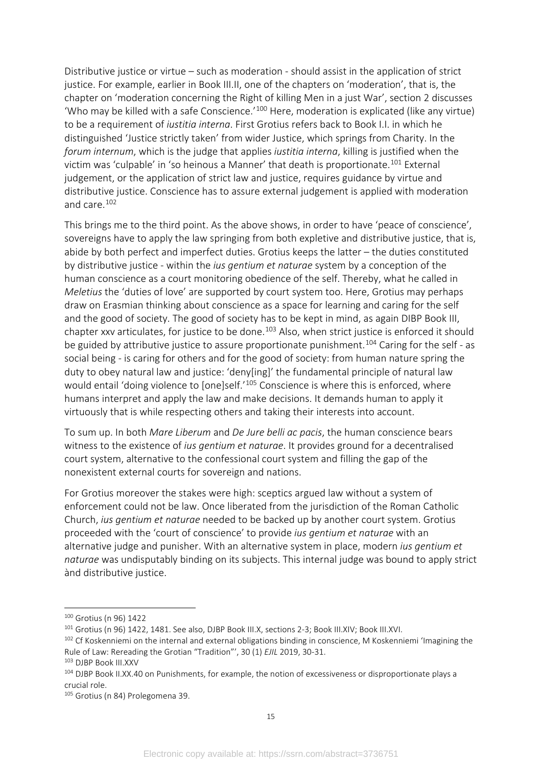Distributive justice or virtue – such as moderation - should assist in the application of strict justice. For example, earlier in Book III.II, one of the chapters on 'moderation', that is, the chapter on 'moderation concerning the Right of killing Men in a just War', section 2 discusses 'Who may be killed with a safe Conscience.'[100](#page-19-0) Here, moderation is explicated (like any virtue) to be a requirement of *iustitia interna*. First Grotius refers back to Book I.I. in which he distinguished 'Justice strictly taken' from wider Justice, which springs from Charity. In the *forum internum*, which is the judge that applies *iustitia interna*, killing is justified when the victim was 'culpable' in 'so heinous a Manner' that death is proportionate.<sup>[101](#page-19-1)</sup> External judgement, or the application of strict law and justice, requires guidance by virtue and distributive justice. Conscience has to assure external judgement is applied with moderation and care.[102](#page-19-2)

This brings me to the third point. As the above shows, in order to have 'peace of conscience', sovereigns have to apply the law springing from both expletive and distributive justice, that is, abide by both perfect and imperfect duties. Grotius keeps the latter – the duties constituted by distributive justice - within the *ius gentium et naturae* system by a conception of the human conscience as a court monitoring obedience of the self. Thereby, what he called in *Meletius* the 'duties of love' are supported by court system too. Here, Grotius may perhaps draw on Erasmian thinking about conscience as a space for learning and caring for the self and the good of society. The good of society has to be kept in mind, as again DIBP Book III, chapter xxv articulates, for justice to be done.<sup>103</sup> Also, when strict justice is enforced it should be guided by attributive justice to assure proportionate punishment.<sup>[104](#page-19-4)</sup> Caring for the self - as social being - is caring for others and for the good of society: from human nature spring the duty to obey natural law and justice: 'deny[ing]' the fundamental principle of natural law would entail 'doing violence to [one]self.<sup>'[105](#page-19-5)</sup> Conscience is where this is enforced, where humans interpret and apply the law and make decisions. It demands human to apply it virtuously that is while respecting others and taking their interests into account.

To sum up. In both *Mare Liberum* and *De Jure belli ac pacis*, the human conscience bears witness to the existence of *ius gentium et naturae*. It provides ground for a decentralised court system, alternative to the confessional court system and filling the gap of the nonexistent external courts for sovereign and nations.

For Grotius moreover the stakes were high: sceptics argued law without a system of enforcement could not be law. Once liberated from the jurisdiction of the Roman Catholic Church, *ius gentium et naturae* needed to be backed up by another court system. Grotius proceeded with the 'court of conscience' to provide *ius gentium et naturae* with an alternative judge and punisher. With an alternative system in place, modern *ius gentium et naturae* was undisputably binding on its subjects. This internal judge was bound to apply strict ànd distributive justice.

<span id="page-19-0"></span><sup>100</sup> Grotius (n 96) 1422

<span id="page-19-1"></span><sup>&</sup>lt;sup>101</sup> Grotius (n 96) 1422, 1481. See also, DJBP Book III.X, sections 2-3; Book III.XIV; Book III.XVI.

<span id="page-19-2"></span><sup>&</sup>lt;sup>102</sup> Cf Koskenniemi on the internal and external obligations binding in conscience, M Koskenniemi 'Imagining the Rule of Law: Rereading the Grotian "Tradition"', 30 (1) *EJIL* 2019, 30-31.<br><sup>103</sup> DJBP Book III.XXV

<span id="page-19-3"></span>

<span id="page-19-4"></span><sup>104</sup> DJBP Book II.XX.40 on Punishments, for example, the notion of excessiveness or disproportionate plays a crucial role.

<span id="page-19-5"></span><sup>105</sup> Grotius (n 84) Prolegomena 39.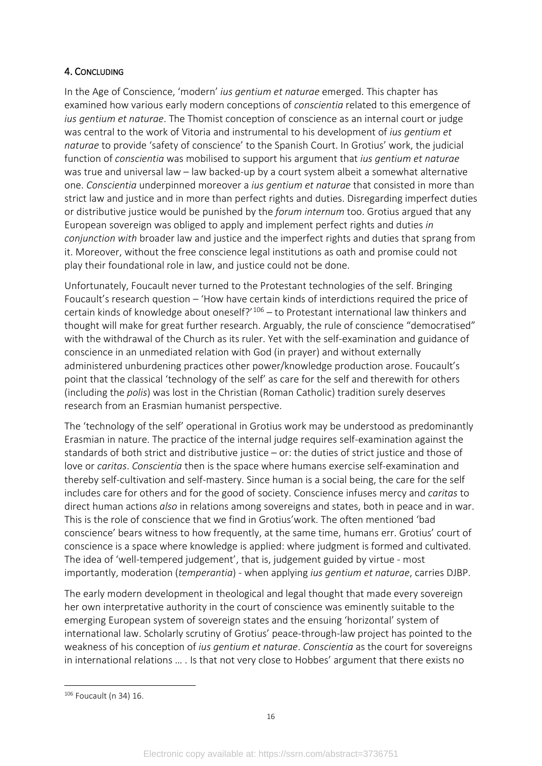# 4. CONCLUDING

In the Age of Conscience, 'modern' *ius gentium et naturae* emerged. This chapter has examined how various early modern conceptions of *conscientia* related to this emergence of *ius gentium et naturae*. The Thomist conception of conscience as an internal court or judge was central to the work of Vitoria and instrumental to his development of *ius gentium et naturae* to provide 'safety of conscience' to the Spanish Court. In Grotius' work, the judicial function of *conscientia* was mobilised to support his argument that *ius gentium et naturae* was true and universal law – law backed-up by a court system albeit a somewhat alternative one. *Conscientia* underpinned moreover a *ius gentium et naturae* that consisted in more than strict law and justice and in more than perfect rights and duties. Disregarding imperfect duties or distributive justice would be punished by the *forum internum* too. Grotius argued that any European sovereign was obliged to apply and implement perfect rights and duties *in conjunction with* broader law and justice and the imperfect rights and duties that sprang from it. Moreover, without the free conscience legal institutions as oath and promise could not play their foundational role in law, and justice could not be done.

Unfortunately, Foucault never turned to the Protestant technologies of the self. Bringing Foucault's research question – 'How have certain kinds of interdictions required the price of certain kinds of knowledge about oneself?'<sup>[106](#page-20-0)</sup> - to Protestant international law thinkers and thought will make for great further research. Arguably, the rule of conscience "democratised" with the withdrawal of the Church as its ruler. Yet with the self-examination and guidance of conscience in an unmediated relation with God (in prayer) and without externally administered unburdening practices other power/knowledge production arose. Foucault's point that the classical 'technology of the self' as care for the self and therewith for others (including the *polis*) was lost in the Christian (Roman Catholic) tradition surely deserves research from an Erasmian humanist perspective.

The 'technology of the self' operational in Grotius work may be understood as predominantly Erasmian in nature. The practice of the internal judge requires self-examination against the standards of both strict and distributive justice – or: the duties of strict justice and those of love or *caritas*. *Conscientia* then is the space where humans exercise self-examination and thereby self-cultivation and self-mastery. Since human is a social being, the care for the self includes care for others and for the good of society. Conscience infuses mercy and *caritas* to direct human actions *also* in relations among sovereigns and states, both in peace and in war. This is the role of conscience that we find in Grotius'work. The often mentioned 'bad conscience' bears witness to how frequently, at the same time, humans err. Grotius' court of conscience is a space where knowledge is applied: where judgment is formed and cultivated. The idea of 'well-tempered judgement', that is, judgement guided by virtue - most importantly, moderation (*temperantia*) - when applying *ius gentium et naturae*, carries DJBP.

The early modern development in theological and legal thought that made every sovereign her own interpretative authority in the court of conscience was eminently suitable to the emerging European system of sovereign states and the ensuing 'horizontal' system of international law. Scholarly scrutiny of Grotius' peace-through-law project has pointed to the weakness of his conception of *ius gentium et naturae*. *Conscientia* as the court for sovereigns in international relations … . Is that not very close to Hobbes' argument that there exists no

<span id="page-20-0"></span><sup>106</sup> Foucault (n 34) 16.